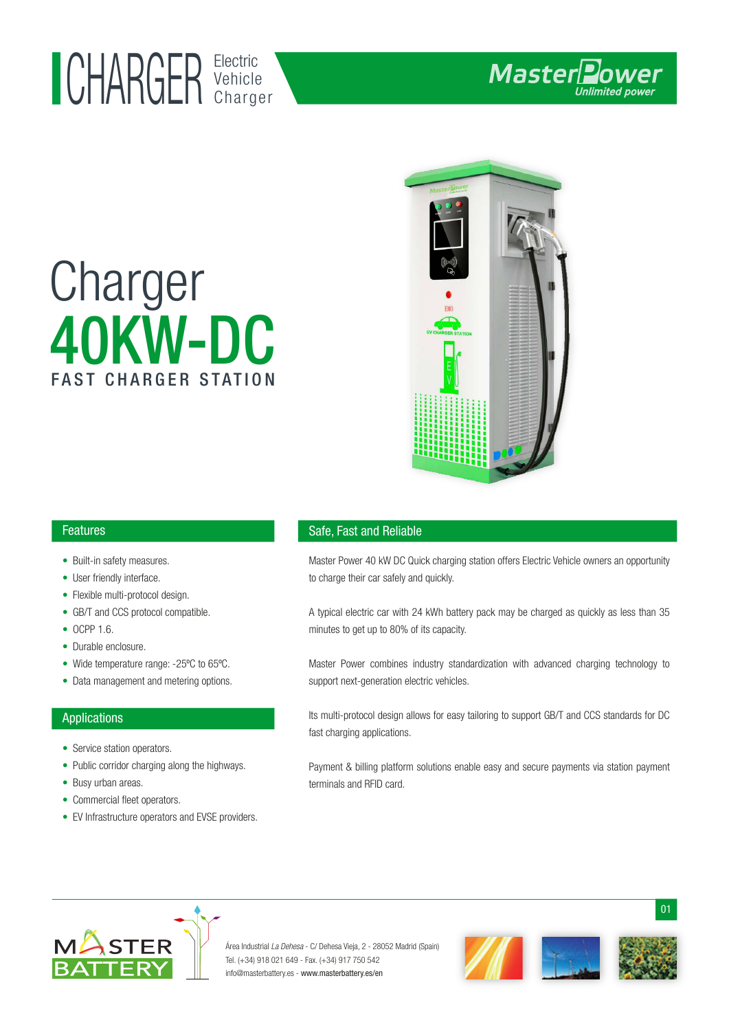## Electric UHAKUEK Vehicle

# 40KW-DC Charger FAST CHARGER STATION



#### Features

- Built-in safety measures.
- User friendly interface.
- Flexible multi-protocol design. •
- GB/T and CCS protocol compatible.
- OCPP 1.6.
- Durable enclosure.
- Wide temperature range: -25°C to 65°C.
- Data management and metering options.

#### Applications

- Service station operators.
- Public corridor charging along the highways.
- Busy urban areas.
- Commercial fleet operators.
- EV Infrastructure operators and EVSE providers. •

#### Safe, Fast and Reliable

Master Power 40 kW DC Quick charging station offers Electric Vehicle owners an opportunity to charge their car safely and quickly.

A typical electric car with 24 kWh battery pack may be charged as quickly as less than 35 minutes to get up to 80% of its capacity.

Master Power combines industry standardization with advanced charging technology to support next-generation electric vehicles.

Its multi-protocol design allows for easy tailoring to support GB/T and CCS standards for DC fast charging applications.

Payment & billing platform solutions enable easy and secure payments via station payment terminals and RFID card.



Área Industrial La Dehesa - C/ Dehesa Vieja, 2 - 28052 Madrid (Spain) Tel. (+34) 918 021 649 - Fax. (+34) 917 750 542 info@masterbattery.es - www.masterbattery.es/en



01